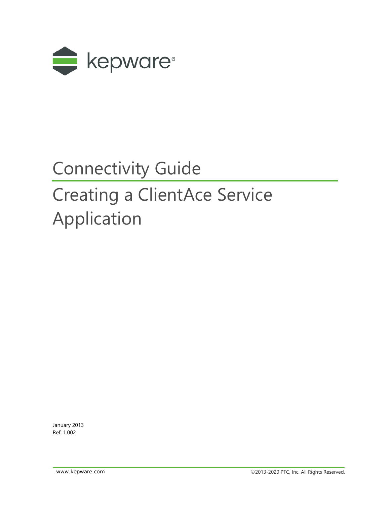

## Connectivity Guide

# Creating a ClientAce Service Application

January 2013 Ref. 1.002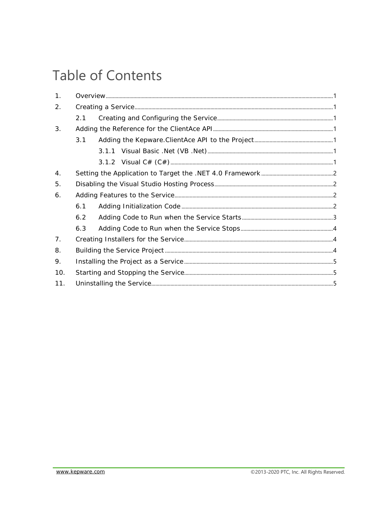## Table of Contents

| 1.  |     |  |  |
|-----|-----|--|--|
| 2.  |     |  |  |
|     | 2.1 |  |  |
| 3.  |     |  |  |
|     | 3.1 |  |  |
|     |     |  |  |
|     |     |  |  |
| 4.  |     |  |  |
| 5.  |     |  |  |
| 6.  |     |  |  |
|     | 6.1 |  |  |
|     | 6.2 |  |  |
|     | 6.3 |  |  |
| 7.  |     |  |  |
| 8.  |     |  |  |
| 9.  |     |  |  |
| 10. |     |  |  |
| 11. |     |  |  |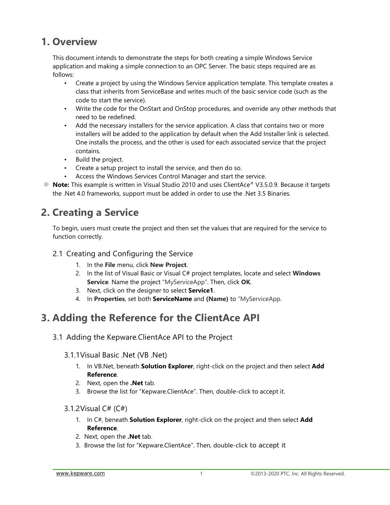#### <span id="page-2-0"></span>**1. Overview**

This document intends to demonstrate the steps for both creating a simple Windows Service application and making a simple connection to an OPC Server. The basic steps required are as follows:

- Create a project by using the Windows Service application template. This template creates a class that inherits from ServiceBase and writes much of the basic service code (such as the code to start the service).
- Write the code for the OnStart and OnStop procedures, and override any other methods that need to be redefined.
- Add the necessary installers for the service application. A class that contains two or more installers will be added to the application by default when the Add Installer link is selected. One installs the process, and the other is used for each associated service that the project contains.
- Build the project.
- Create a setup project to install the service, and then do so.
- Access the Windows Services Control Manager and start the service.
- **Note:** This example is written in Visual Studio 2010 and uses ClientAce® V3.5.0.9. Because it targets the .Net 4.0 frameworks, support must be added in order to use the .Net 3.5 Binaries.

## <span id="page-2-1"></span>**2. Creating a Service**

To begin, users must create the project and then set the values that are required for the service to function correctly.

#### <span id="page-2-2"></span>2.1 Creating and Configuring the Service

- 1. In the **File** menu, click **New Project**.
- 2. In the list of Visual Basic or Visual C# project templates, locate and select **Windows Service**. Name the project "MyServiceApp". Then, click **OK**.
- 3. Next, click on the designer to select **Service1**.
- 4. In **Properties**, set both **[ServiceName](http://msdn.microsoft.com/en-us/library/system.serviceprocess.servicebase.servicename.aspx)** and **(Name)** to "MyServiceApp.

#### <span id="page-2-3"></span>**3. Adding the Reference for the ClientAce API**

#### <span id="page-2-5"></span><span id="page-2-4"></span>3.1 Adding the Kepware.ClientAce API to the Project

#### 3.1.1Visual Basic .Net (VB .Net)

- 1. In VB.Net, beneath **Solution Explorer**, right-click on the project and then select **Add Reference**.
- 2. Next, open the **.Net** tab.
- 3. Browse the list for "Kepware.ClientAce". Then, double-click to accept it.

#### <span id="page-2-6"></span>3.1.2Visual C# (C#)

- 1. In C#, beneath **Solution Explorer**, right-click on the project and then select **Add Reference**.
- 2. Next, open the **.Net** tab.
- 3. Browse the list for "Kepware.ClientAce". Then, double-click to accept it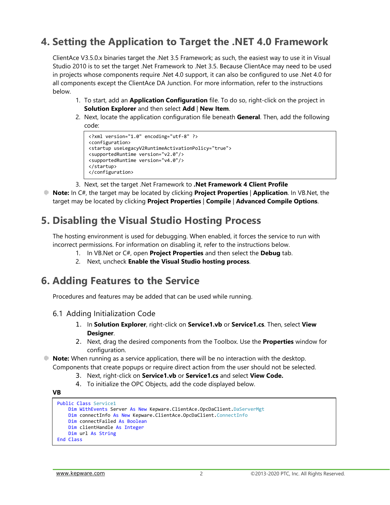## <span id="page-3-0"></span>**4. Setting the Application to Target the .NET 4.0 Framework**

ClientAce V3.5.0.x binaries target the .Net 3.5 Framework; as such, the easiest way to use it in Visual Studio 2010 is to set the target .Net Framework to .Net 3.5. Because ClientAce may need to be used in projects whose components require .Net 4.0 support, it can also be configured to use .Net 4.0 for all components except the ClientAce DA Junction. For more information, refer to the instructions below.

- 1. To start, add an **Application Configuration** file. To do so, right-click on the project in **Solution Explorer** and then select **Add** | **New Item**.
- 2. Next, locate the application configuration file beneath **General**. Then, add the following code:

```
<?xml version="1.0" encoding="utf-8" ?>
<configuration>
<startup useLegacyV2RuntimeActivationPolicy="true">
<supportedRuntime version="v2.0"/>
<supportedRuntime version="v4.0"/>
</startup> 
</configuration>
```
- 3. Next, set the target .Net Framework to **.Net Framework 4 Client Profile**
- **Note:** In C#, the target may be located by clicking **Project Properties** | **Application**. In VB.Net, the target may be located by clicking **Project Properties** | **Compile** | **Advanced Compile Options**.

## <span id="page-3-1"></span>**5. Disabling the Visual Studio Hosting Process**

The hosting environment is used for debugging. When enabled, it forces the service to run with incorrect permissions. For information on disabling it, refer to the instructions below.

- 1. In VB.Net or C#, open **Project Properties** and then select the **Debug** tab.
- 2. Next, uncheck **Enable the Visual Studio hosting process**.

#### <span id="page-3-2"></span>**6. Adding Features to the Service**

<span id="page-3-3"></span>Procedures and features may be added that can be used while running.

- 6.1 Adding Initialization Code
	- 1. In **Solution Explorer**, right-click on **Service1.vb** or **Service1.cs**. Then, select **View Designer**.
	- 2. Next, drag the desired components from the Toolbox. Use the **Properties** window for configuration.
- **Note:** When running as a service application, there will be no interaction with the desktop. Components that create popups or require direct action from the user should not be selected.
	- 3. Next, right-click on **Service1.vb** or **Service1.cs** and select **View Code.**
	- 4. To initialize the OPC Objects, add the code displayed below.

```
VB
```

```
Public Class Service1
    Dim WithEvents Server As New Kepware.ClientAce.OpcDaClient.DaServerMgt
    Dim connectInfo As New Kepware.ClientAce.OpcDaClient.ConnectInfo
    Dim connectFailed As Boolean
    Dim clientHandle As Integer
    Dim url As String
End Class
```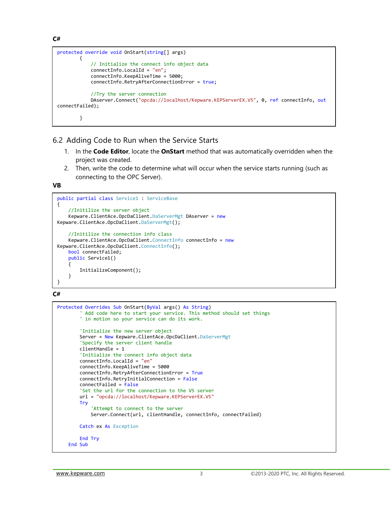**C#**

```
protected override void OnStart(string[] args)
         {
             // Initialize the connect info object data
             connectInfo.LocalId = "en";
             connectInfo.KeepAliveTime = 5000;
             connectInfo.RetryAfterConnectionError = true;
             //Try the server connection
             DAserver.Connect("opcda://localhost/Kepware.KEPServerEX.V5", 0, ref connectInfo, out
connectFailed);
         }
```
#### <span id="page-4-0"></span>6.2 Adding Code to Run when the Service Starts

- 1. In the **Code Editor**, locate the **OnStart** method that was automatically overridden when the project was created.
- 2. Then, write the code to determine what will occur when the service starts running (such as connecting to the OPC Server).

**VB**

```
public partial class Service1 : ServiceBase
{
     //Initilize the server object
   Kepware.ClientAce.OpcDaClient.DaServerMgt DAserver = new
Kepware.ClientAce.OpcDaClient.DaServerMgt();
     //Initilize the connection info class
     Kepware.ClientAce.OpcDaClient.ConnectInfo connectInfo = new
Kepware.ClientAce.OpcDaClient.ConnectInfo();
     bool connectFailed;
    public Service1()
     {
         InitializeComponent();
    }
}
```
**C#**

```
Protected Overrides Sub OnStart(ByVal args() As String)
         Add code here to start your service. This method should set things
        ' in motion so your service can do its work.
         'Initialize the new server object
         Server = New Kepware.ClientAce.OpcDaClient.DaServerMgt
         'Specify the server client handle
         clientHandle = 1
         'Initialize the connect info object data
         connectInfo.LocalId = "en"
         connectInfo.KeepAliveTime = 5000
         connectInfo.RetryAfterConnectionError = True
         connectInfo.RetryInitialConnection = False
         connectFailed = False
         'Set the url for the connection to the V5 server
         url = "opcda://localhost/Kepware.KEPServerEX.V5"
         Try
             'Attempt to connect to the server
             Server.Connect(url, clientHandle, connectInfo, connectFailed)
         Catch ex As Exception
         End Try
     End Sub
```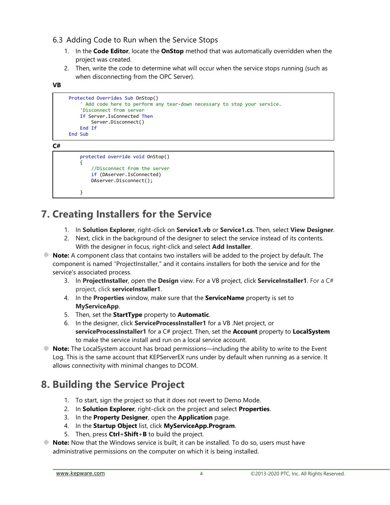- <span id="page-5-0"></span>6.3 Adding Code to Run when the Service Stops
	- 1. In the **Code Editor**, locate the **OnStop** method that was automatically overridden when the project was created.
	- 2. Then, write the code to determine what will occur when the service stops running (such as when disconnecting from the OPC Server).

```
VB
```

```
 Protected Overrides Sub OnStop()
     Add code here to perform any tear-down necessary to stop your service.
     'Disconnect from server
     If Server.IsConnected Then
         Server.Disconnect()
     End If
 End Sub
```
**C#**

```
 protected override void OnStop()
 {
     //Disconnect from the server
     if (DAserver.IsConnected)
     DAserver.Disconnect();
```
#### }

## <span id="page-5-1"></span>**7. Creating Installers for the Service**

- 1. In **Solution Explorer**, right-click on **Service1.vb** or **Service1.cs**. Then, select **View Designer**.
- 2. Next, click in the background of the designer to select the service instead of its contents. With the designer in focus, right-click and select **Add Installer**.
- **Note:** A component class that contains two installers will be added to the project by default. The component is named "ProjectInstaller," and it contains installers for both the service and for the service's associated process.
	- 3. In **ProjectInstaller**, open the **Design** view. For a VB project, click **ServiceInstaller1**. For a C# project, click **serviceInstaller1**.
	- 4. In the **Properties** window, make sure that the **[ServiceName](http://msdn.microsoft.com/en-us/library/system.serviceprocess.serviceinstaller.servicename.aspx)** property is set to **MyServiceApp**.
	- 5. Then, set the **[StartType](http://msdn.microsoft.com/en-us/library/system.serviceprocess.serviceinstaller.starttype.aspx)** property to **[Automatic](http://msdn.microsoft.com/en-us/library/system.serviceprocess.servicestartmode.aspx)**.
	- 6. In the designer, click **ServiceProcessInstaller1** for a VB .Net project, or **serviceProcessInstaller1** for a C# project. Then, set the **[Account](http://msdn.microsoft.com/en-us/library/system.serviceprocess.serviceprocessinstaller.account.aspx)** property to **[LocalSystem](http://msdn.microsoft.com/en-us/library/system.serviceprocess.serviceaccount.aspx)** to make the service install and run on a local service account.
- **Note:** The LocalSystem account has broad permissions—including the ability to write to the Event Log. This is the same account that KEPServerEX runs under by default when running as a service. It allows connectivity with minimal changes to DCOM.

## <span id="page-5-2"></span>**8. Building the Service Project**

- 1. To start, sign the project so that it does not revert to Demo Mode.
- 2. In **Solution Explorer**, right-click on the project and select **Properties**.
- 3. In the **Property Designer**, open the **Application** page.
- 4. In the **Startup Object** list, click **MyServiceApp.Program**.
- 5. Then, press **Ctrl**+**Shift**+**B** to build the project.
- **Note:** Now that the Windows service is built, it can be installed. To do so, users must have administrative permissions on the computer on which it is being installed.